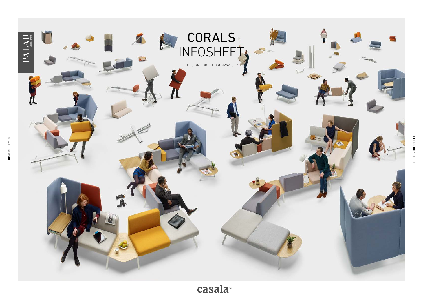

casala<sup>®</sup>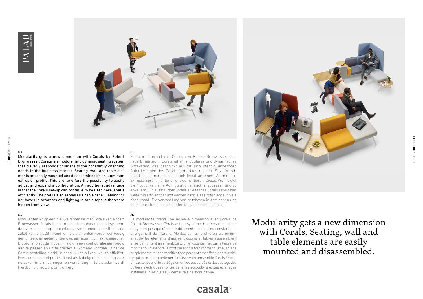

**IIK** 

Modularity gets a new dimension with Corals by Robert Bronwasser. Corals is a modular and dynamic seating system that cleverly responds counters to the constantly changing needs in the business market. Seating, wall and table elements are easily mounted and disassembled on an aluminum extrusion profile. This profile offers the possibility to easily adjust and expand a configuration. An additional advantage is that the Corals set-up can continue to be used here, That's efficiently! The profile also serves as a cable canel. Cabling for net boxes in armrests and lighting in table tops is therefore hidden from view.

#### NL

Modulariteit krijgt een nieuwe dimensie met Corals van Robert Bronwasser. Corals is een modulair en dynamisch zitsysteem dat slim inspeelt op de continu veranderende behoeften in de zakelijke markt. Zit-, wand- en tafelelementen worden eenvoudig gemonteerd en gedemonteerd op een aluminium extrusieprofiel. Dit profiel biedt de mogelijkheid om een configuratie eenvoudig aan te passen en uit te breiden. Bijkomend voordeel is dat de Corals opstelling hierbij in gebruik kan blijven, wel zo efficiënt! Eveneens doet het profiel dienst als kabelgoot. Bekabeling voor netboxen in armleuningen en verlichting in tafelbladen wordt hierdoor uit het zicht onttrokken.

#### DE

Modularität erhält mit Corals von Robert Bronwasser eine neue Dimension. Corals ist ein modulares und dynamisches Sitzsystem, das geschickt auf die sich ständig ändernden Anforderungen des Geschäftsmarktes reagiert. Sitz-, Wandund Tischelemente lassen sich leicht an einem Aluminium-Extrusionsprofil montieren und demontieren. Dieses Profil bietet die Möglichkeit, eine Konfiguration einfach anzupassen und zu erweitern. Ein zusätzlicher Vorteil ist, dass das Corals set-up hier weiterhin effizient genutzt werden kann! Das Profil dient auch als Kabelkanal. Die Verkabelung von Netzboxen in Armlehnen und die Beleuchtung in Tischplatten ist daher nicht sichtbar.

#### FR

La modularité prend une nouvelle dimension avec Corals de Robert Bronwasser. Corals est un système d'assises modulaires et dynamiques qui répond habilement aux besoins constants de changement du marché. Montés sur un profilé en aluminium extrudé, les éléments d'assise, cloisons et tables s'assemblent et se démontent aisément. Ce profilé vous permet par ailleurs de modifier ou d'étendre la configuration à tout moment. Un avantage supplémentaire : ces modifications peuvent être effectuées sur site, ce qui permet de continuer à utiliser votre ensemble Corals, Quelle efficacité! Le profilé sert également de passe-câbles. Le câblage des boîtiers électriques montés dans les accoudoirs et des éclairages installés sur les plateaux demeure ainsi hors de vue.

Modularity gets a new dimension with Corals. Seating, wall and table elements are easily mounted and disassembled.

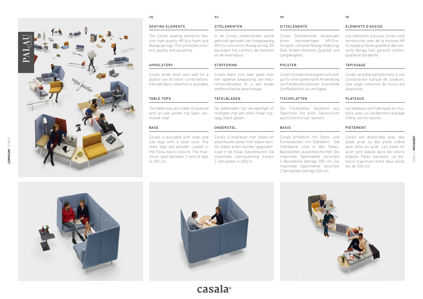

UK

# NL

# SEATING ELEMENTS

The Corals seating elements feature high-quality HR Eco foam and Nosag springs. This promotes comfort, quality and durability.

# UPHOLSTERY

Corals lends itself very well for a playful use of colour combinations. A broad fabric collection is available.

# TABLE TOPS

The table tops are made of plywood with an oak veneer top layer, varnished clear.

# BASE

Corals is available with steel and oak legs with a steel core. The steel legs are powder coated in the Palau basic colours. The maximum span between 2 sets of legs is 200 cm.

In de Corals zitelementen wordt gebruikt gemaakt van hoogwaardig HR Eco schuim en Nosag vering. Dit bevordert het comfort, de kwaliteit en de levensduur.

#### **STOFFERING**

Corals leent zich zeer goed voor een speelse toepassing van kleurencombinaties. Er is een brede stoffencollectie beschikbaar.

#### TAFELBLADEN

De tafelbladen zijn vervaardigd uit multiplex met een eiken fineer toplaag, blank gelakt.

### **ONDERSTEL**

Corals is leverbaar met stalen en eikenhouten poten met stalen kern. De stalen poten worden gepoedercoat in de Palau basiskleuren. De maximale overspanning tussen 2 sets poten is 200cm.

| I |  |
|---|--|

# SITZELEMENTE

Corals Sitzelemente verwenden einen hochwertigen HR-Eco-Schaum und eine Nosag-Federung. Dies fördert Komfort, Qualität und Langlebigkeit.

# POLSTER

Corals Sitzelemente eignen sich sehr gut für eine spielerische Anwendung von Farbkombinationen. Eine breite Stoffkollektion ist verfügbar.

# TISCHPLATTEN

Die Tischplatten bestehen aus Sperrholz mit einer Deckschicht aus Eichenfurnier, lackiert.

# BASIS

Corals erhältlich mit Stahl- und Eichenbeinen mit Stahlkern. Die Stahlbeine sind in den Palau-Basisfarben pulverbeschichtet. Die maximale Spannweite zwischen 2 Beinsätzen beträgt 200 cm. Die maximale Spannweite zwischen 2 Beinsätzen beträgt 200 cm.

#### ELÉMENTS D'ASSISE

FR

Les éléments d'assise Corals sont rembourrés avec de la mousse HR Ecologique haute qualité et des ressorts Nosag. Ceci garantit confort, qualité et durabilité.

# TAPISSAGE

Corals se prête parfaitement à une combinaison ludique de couleurs. Une large collection de tissus est disponible.

#### PLATEAUX

Les plateaux sont fabriqués en multiplis avec un revêtement placage chêne, vernis naturel.

# PIÈTEMENT

Corals est disponible avec des pieds acier ou des pieds chêne avec âme en acier. Les pieds en acier sont laqués dans les coloris d'époxy Palau basiques. La distance maximum entre deux pieds est de 200 cm

CORALS INFOSHEET

CORALS

**INFOSHEET** 







casala®

# ZITELEMENTEN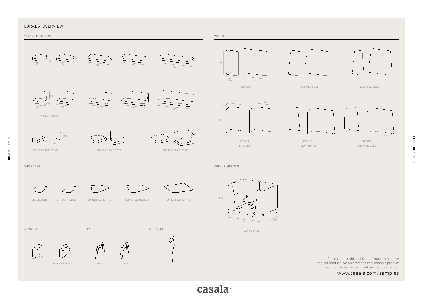# CORALS OVERVIEW



casala<sup>®</sup>

www.casala.com/samples

CORALS INFOSHEET

CORALS INFOSHEET